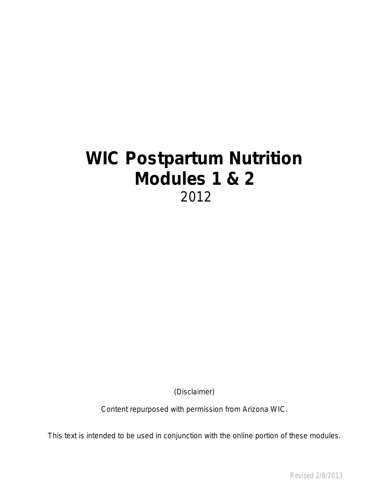# **WIC Postpartum Nutrition Modules 1 & 2** 2012

(Disclaimer)

Content repurposed with permission from Arizona WIC.

This text is intended to be used in conjunction with the online portion of these modules.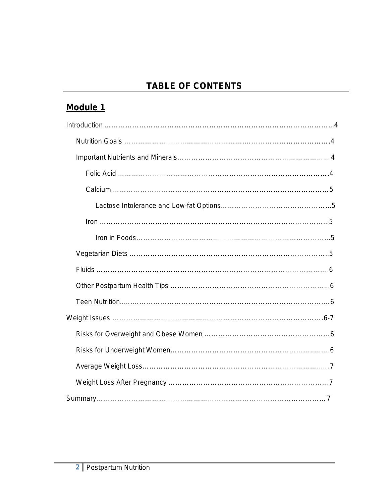# **TABLE OF CONTENTS**

# **Module 1**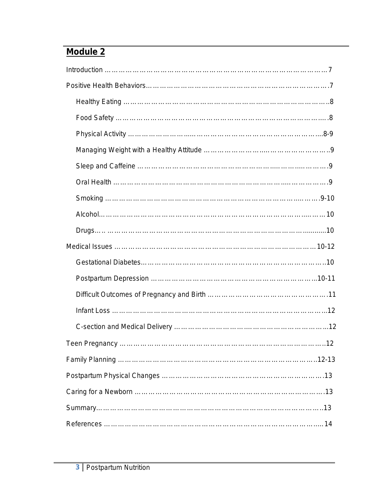# **Module 2**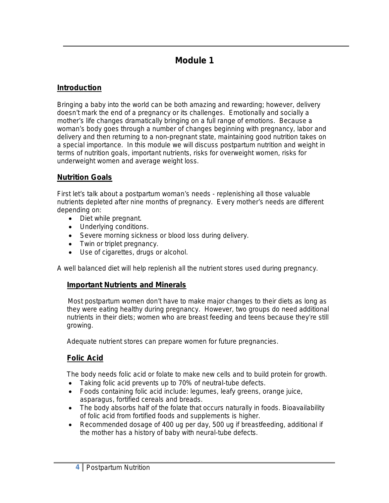## **Module 1**

### **Introduction**

Bringing a baby into the world can be both amazing and rewarding; however, delivery doesn't mark the end of a pregnancy or its challenges. Emotionally and socially a mother's life changes dramatically bringing on a full range of emotions. Because a woman's body goes through a number of changes beginning with pregnancy, labor and delivery and then returning to a non-pregnant state, maintaining good nutrition takes on a special importance. In this module we will discuss postpartum nutrition and weight in terms of nutrition goals, important nutrients, risks for overweight women, risks for underweight women and average weight loss.

### **Nutrition Goals**

First let's talk about a postpartum woman's needs - replenishing all those valuable nutrients depleted after nine months of pregnancy. Every mother's needs are different depending on:

- Diet while pregnant.
- Underlying conditions.
- Severe morning sickness or blood loss during delivery.
- Twin or triplet pregnancy.
- Use of cigarettes, drugs or alcohol.

A well balanced diet will help replenish all the nutrient stores used during pregnancy.

### **Important Nutrients and Minerals**

 Most postpartum women don't have to make major changes to their diets as long as they were eating healthy during pregnancy. However, two groups do need additional nutrients in their diets; women who are breast feeding and teens because they're still growing.

Adequate nutrient stores can prepare women for future pregnancies.

### **Folic Acid**

The body needs folic acid or folate to make new cells and to build protein for growth.

- Taking folic acid prevents up to 70% of neutral-tube defects.
- Foods containing folic acid include: legumes, leafy greens, orange juice, asparagus, fortified cereals and breads.
- The body absorbs half of the folate that occurs naturally in foods. Bioavailability of folic acid from fortified foods and supplements is higher.
- Recommended dosage of 400 ug per day, 500 ug if breastfeeding, additional if the mother has a history of baby with neural-tube defects.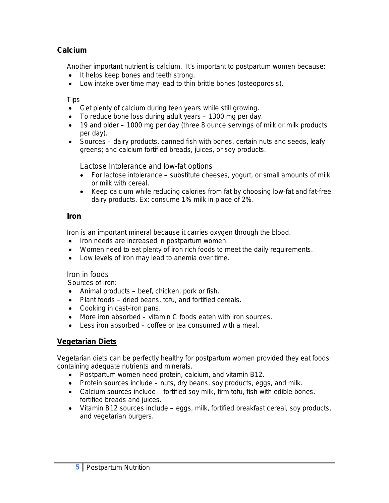### **Calcium**

Another important nutrient is calcium. It's important to postpartum women because:

- It helps keep bones and teeth strong.
- Low intake over time may lead to thin brittle bones (osteoporosis).

**Tips** 

- Get plenty of calcium during teen years while still growing.
- To reduce bone loss during adult years 1300 mg per day.
- 19 and older 1000 mg per day (three 8 ounce servings of milk or milk products per day).
- Sources dairy products, canned fish with bones, certain nuts and seeds, leafy greens; and calcium fortified breads, juices, or soy products.

#### Lactose Intolerance and low-fat options

- For lactose intolerance substitute cheeses, yogurt, or small amounts of milk or milk with cereal.
- Keep calcium while reducing calories from fat by choosing low-fat and fat-free dairy products. Ex: consume 1% milk in place of 2%.

### **Iron**

Iron is an important mineral because it carries oxygen through the blood.

- Iron needs are increased in postpartum women.
- Women need to eat plenty of iron rich foods to meet the daily requirements.
- Low levels of iron may lead to anemia over time.

#### Iron in foods

Sources of iron:

- Animal products beef, chicken, pork or fish.
- Plant foods dried beans, tofu, and fortified cereals.
- Cooking in cast-iron pans.
- More iron absorbed vitamin C foods eaten with iron sources.
- Less iron absorbed coffee or tea consumed with a meal.

### **Vegetarian Diets**

Vegetarian diets can be perfectly healthy for postpartum women provided they eat foods containing adequate nutrients and minerals.

- Postpartum women need protein, calcium, and vitamin B12.
- Protein sources include nuts, dry beans, soy products, eggs, and milk.
- Calcium sources include fortified soy milk, firm tofu, fish with edible bones, fortified breads and juices.
- Vitamin B12 sources include eggs, milk, fortified breakfast cereal, soy products, and vegetarian burgers.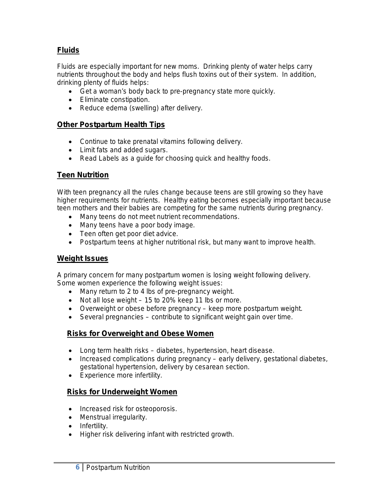### **Fluids**

Fluids are especially important for new moms. Drinking plenty of water helps carry nutrients throughout the body and helps flush toxins out of their system. In addition, drinking plenty of fluids helps:

- Get a woman's body back to pre-pregnancy state more quickly.
- Eliminate constipation.
- Reduce edema (swelling) after delivery.

#### **Other Postpartum Health Tips**

- Continue to take prenatal vitamins following delivery.
- Limit fats and added sugars.
- Read Labels as a guide for choosing quick and healthy foods.

### **Teen Nutrition**

With teen pregnancy all the rules change because teens are still growing so they have higher requirements for nutrients. Healthy eating becomes especially important because teen mothers and their babies are competing for the same nutrients during pregnancy.

- Many teens do not meet nutrient recommendations.
- Many teens have a poor body image.
- Teen often get poor diet advice.
- Postpartum teens at higher nutritional risk, but many want to improve health.

### **Weight Issues**

A primary concern for many postpartum women is losing weight following delivery. Some women experience the following weight issues:

- Many return to 2 to 4 lbs of pre-pregnancy weight.
- Not all lose weight 15 to 20% keep 11 lbs or more.
- Overweight or obese before pregnancy keep more postpartum weight.
- Several pregnancies contribute to significant weight gain over time.

### **Risks for Overweight and Obese Women**

- Long term health risks diabetes, hypertension, heart disease.
- Increased complications during pregnancy early delivery, gestational diabetes, gestational hypertension, delivery by cesarean section.
- Experience more infertility.

### **Risks for Underweight Women**

- Increased risk for osteoporosis.
- Menstrual irregularity.
- Infertility.
- Higher risk delivering infant with restricted growth.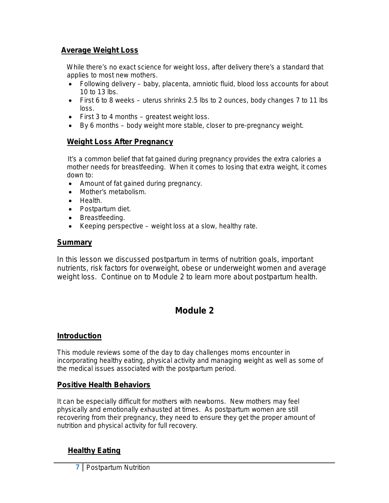#### **Average Weight Loss**

 While there's no exact science for weight loss, after delivery there's a standard that applies to most new mothers.

- Following delivery baby, placenta, amniotic fluid, blood loss accounts for about 10 to 13 lbs.
- First 6 to 8 weeks uterus shrinks 2.5 lbs to 2 ounces, body changes 7 to 11 lbs loss.
- First 3 to 4 months greatest weight loss.
- By 6 months body weight more stable, closer to pre-pregnancy weight.

#### **Weight Loss After Pregnancy**

 It's a common belief that fat gained during pregnancy provides the extra calories a mother needs for breastfeeding. When it comes to losing that extra weight, it comes down to:

- Amount of fat gained during pregnancy.
- Mother's metabolism.
- Health.
- Postpartum diet.
- Breastfeeding.
- Keeping perspective weight loss at a slow, healthy rate.

#### **Summary**

In this lesson we discussed postpartum in terms of nutrition goals, important nutrients, risk factors for overweight, obese or underweight women and average weight loss. Continue on to Module 2 to learn more about postpartum health.

### **Module 2**

#### **Introduction**

This module reviews some of the day to day challenges moms encounter in incorporating healthy eating, physical activity and managing weight as well as some of the medical issues associated with the postpartum period.

#### **Positive Health Behaviors**

It can be especially difficult for mothers with newborns. New mothers may feel physically and emotionally exhausted at times. As postpartum women are still recovering from their pregnancy, they need to ensure they get the proper amount of nutrition and physical activity for full recovery.

### **Healthy Eating**

**7** Postpartum Nutrition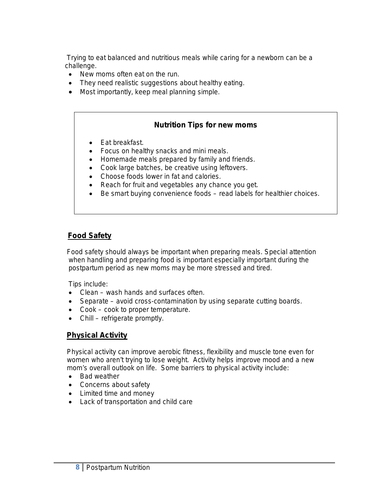Trying to eat balanced and nutritious meals while caring for a newborn can be a challenge.

- New moms often eat on the run.
- They need realistic suggestions about healthy eating.
- Most importantly, keep meal planning simple.

#### **Nutrition Tips for new moms**

- Eat breakfast.
- Focus on healthy snacks and mini meals.
- Homemade meals prepared by family and friends.
- Cook large batches, be creative using leftovers.
- Choose foods lower in fat and calories.
- Reach for fruit and vegetables any chance you get.
- Be smart buying convenience foods read labels for healthier choices.

### **Food Safety**

 Food safety should always be important when preparing meals. Special attention when handling and preparing food is important especially important during the postpartum period as new moms may be more stressed and tired.

Tips include:

- Clean wash hands and surfaces often.
- Separate avoid cross-contamination by using separate cutting boards.
- Cook cook to proper temperature.
- Chill refrigerate promptly.

#### **Physical Activity**

 Physical activity can improve aerobic fitness, flexibility and muscle tone even for women who aren't trying to lose weight. Activity helps improve mood and a new mom's overall outlook on life. Some barriers to physical activity include:

- Bad weather
- Concerns about safety
- Limited time and money
- Lack of transportation and child care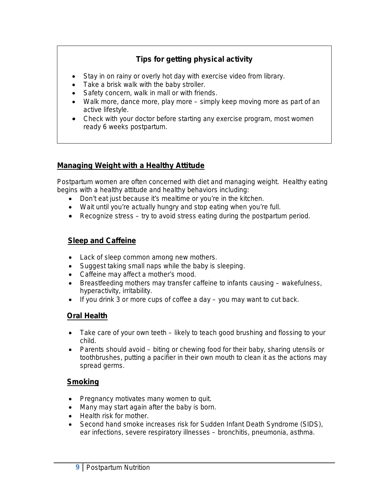### **Tips for getting physical activity**

- Stay in on rainy or overly hot day with exercise video from library.
- Take a brisk walk with the baby stroller.
- Safety concern, walk in mall or with friends.
- Walk more, dance more, play more simply keep moving more as part of an active lifestyle.
- Check with your doctor before starting any exercise program, most women ready 6 weeks postpartum.

### **Managing Weight with a Healthy Attitude**

Postpartum women are often concerned with diet and managing weight. Healthy eating begins with a healthy attitude and healthy behaviors including:

- Don't eat just because it's mealtime or you're in the kitchen.
- Wait until you're actually hungry and stop eating when you're full.
- Recognize stress try to avoid stress eating during the postpartum period.

### **Sleep and Caffeine**

- Lack of sleep common among new mothers.
- Suggest taking small naps while the baby is sleeping.
- Caffeine may affect a mother's mood.
- Breastfeeding mothers may transfer caffeine to infants causing wakefulness, hyperactivity, irritability.
- If you drink 3 or more cups of coffee a day you may want to cut back.

### **Oral Health**

- Take care of your own teeth likely to teach good brushing and flossing to your child.
- Parents should avoid biting or chewing food for their baby, sharing utensils or toothbrushes, putting a pacifier in their own mouth to clean it as the actions may spread germs.

### **Smoking**

- Pregnancy motivates many women to quit.
- Many may start again after the baby is born.
- Health risk for mother.
- Second hand smoke increases risk for Sudden Infant Death Syndrome (SIDS), ear infections, severe respiratory illnesses – bronchitis, pneumonia, asthma.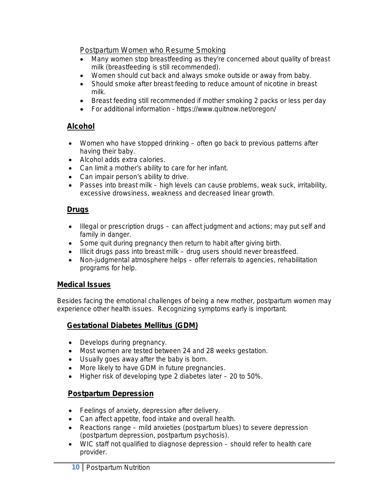Postpartum Women who Resume Smoking

- Many women stop breastfeeding as they're concerned about quality of breast milk (breastfeeding is still recommended).
- Women should cut back and always smoke outside or away from baby.
- Should smoke after breast feeding to reduce amount of nicotine in breast milk.
- Breast feeding still recommended if mother smoking 2 packs or less per day
- For additional information https://www.quitnow.net/oregon/

### **Alcohol**

- Women who have stopped drinking often go back to previous patterns after having their baby.
- Alcohol adds extra calories.
- Can limit a mother's ability to care for her infant.
- Can impair person's ability to drive.
- Passes into breast milk high levels can cause problems, weak suck, irritability, excessive drowsiness, weakness and decreased linear growth.

### **Drugs**

- Illegal or prescription drugs can affect judgment and actions; may put self and family in danger.
- Some quit during pregnancy then return to habit after giving birth.
- Illicit drugs pass into breast milk drug users should never breastfeed.
- Non-judgmental atmosphere helps offer referrals to agencies, rehabilitation programs for help.

### **Medical Issues**

Besides facing the emotional challenges of being a new mother, postpartum women may experience other health issues. Recognizing symptoms early is important.

### **Gestational Diabetes Mellitus (GDM)**

- Develops during pregnancy.
- Most women are tested between 24 and 28 weeks gestation.
- Usually goes away after the baby is born.
- More likely to have GDM in future pregnancies.
- Higher risk of developing type 2 diabetes later 20 to 50%.

### **Postpartum Depression**

- Feelings of anxiety, depression after delivery.
- Can affect appetite, food intake and overall health.
- Reactions range mild anxieties (postpartum blues) to severe depression (postpartum depression, postpartum psychosis).
- WIC staff not qualified to diagnose depression should refer to health care provider.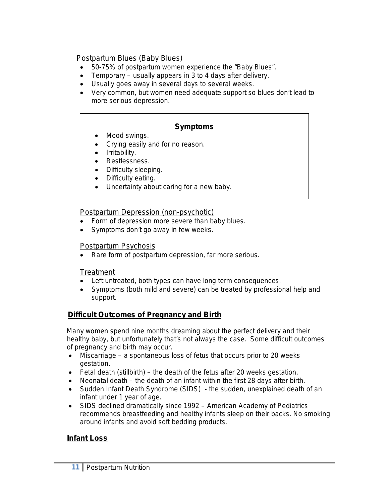Postpartum Blues (Baby Blues)

- 50-75% of postpartum women experience the "Baby Blues".
- Temporary usually appears in 3 to 4 days after delivery.
- Usually goes away in several days to several weeks.
- Very common, but women need adequate support so blues don't lead to more serious depression.

### **Symptoms**

- Mood swings.
- Crying easily and for no reason.
- Irritability.
- Restlessness.
- Difficulty sleeping.
- Difficulty eating.
- Uncertainty about caring for a new baby.

#### Postpartum Depression (non-psychotic)

- Form of depression more severe than baby blues.
- Symptoms don't go away in few weeks.

### Postpartum Psychosis

• Rare form of postpartum depression, far more serious.

### **Treatment**

- Left untreated, both types can have long term consequences.
- Symptoms (both mild and severe) can be treated by professional help and support.

### **Difficult Outcomes of Pregnancy and Birth**

 Many women spend nine months dreaming about the perfect delivery and their healthy baby, but unfortunately that's not always the case. Some difficult outcomes of pregnancy and birth may occur.

- Miscarriage a spontaneous loss of fetus that occurs prior to 20 weeks gestation.
- Fetal death (stillbirth) the death of the fetus after 20 weeks gestation.
- Neonatal death the death of an infant within the first 28 days after birth.
- Sudden Infant Death Syndrome (SIDS) the sudden, unexplained death of an infant under 1 year of age.
- SIDS declined dramatically since 1992 American Academy of Pediatrics recommends breastfeeding and healthy infants sleep on their backs. No smoking around infants and avoid soft bedding products.

### **Infant Loss**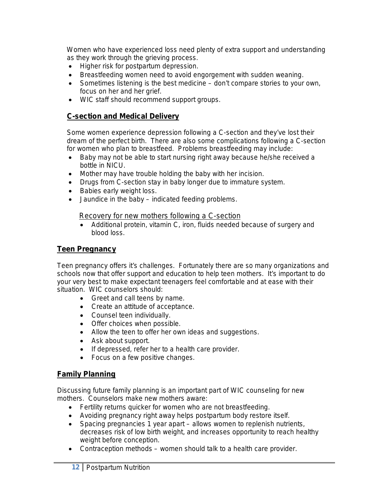Women who have experienced loss need plenty of extra support and understanding as they work through the grieving process.

- Higher risk for postpartum depression.
- Breastfeeding women need to avoid engorgement with sudden weaning.
- Sometimes listening is the best medicine don't compare stories to your own, focus on her and her grief.
- WIC staff should recommend support groups.

### **C-section and Medical Delivery**

 Some women experience depression following a C-section and they've lost their dream of the perfect birth. There are also some complications following a C-section for women who plan to breastfeed. Problems breastfeeding may include:

- Baby may not be able to start nursing right away because he/she received a bottle in NICU.
- Mother may have trouble holding the baby with her incision.
- Drugs from C-section stay in baby longer due to immature system.
- Babies early weight loss.
- Jaundice in the baby indicated feeding problems.

#### Recovery for new mothers following a C-section

• Additional protein, vitamin C, iron, fluids needed because of surgery and blood loss.

### **Teen Pregnancy**

Teen pregnancy offers it's challenges. Fortunately there are so many organizations and schools now that offer support and education to help teen mothers. It's important to do your very best to make expectant teenagers feel comfortable and at ease with their situation. WIC counselors should:

- Greet and call teens by name.
- Create an attitude of acceptance.
- Counsel teen individually.
- Offer choices when possible.
- Allow the teen to offer her own ideas and suggestions.
- Ask about support.
- If depressed, refer her to a health care provider.
- Focus on a few positive changes.

### **Family Planning**

Discussing future family planning is an important part of WIC counseling for new mothers. Counselors make new mothers aware:

- Fertility returns quicker for women who are not breastfeeding.
- Avoiding pregnancy right away helps postpartum body restore itself.
- Spacing pregnancies 1 year apart allows women to replenish nutrients, decreases risk of low birth weight, and increases opportunity to reach healthy weight before conception.
- Contraception methods women should talk to a health care provider.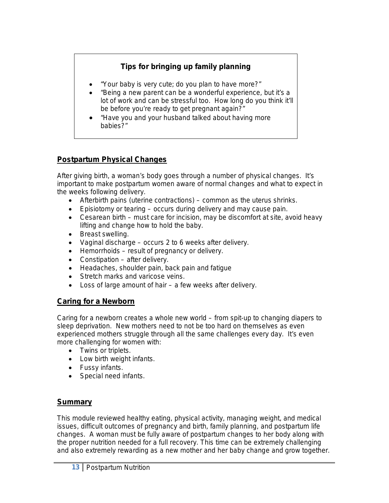### **Tips for bringing up family planning**

- "Your baby is very cute; do you plan to have more?"
- "Being a new parent can be a wonderful experience, but it's a lot of work and can be stressful too. How long do you think it'll be before you're ready to get pregnant again?"
- "Have you and your husband talked about having more babies?"

### **Postpartum Physical Changes**

After giving birth, a woman's body goes through a number of physical changes. It's important to make postpartum women aware of normal changes and what to expect in the weeks following delivery.

- Afterbirth pains (uterine contractions) common as the uterus shrinks.
- Episiotomy or tearing occurs during delivery and may cause pain.
- Cesarean birth must care for incision, may be discomfort at site, avoid heavy lifting and change how to hold the baby.
- Breast swelling.
- Vaginal discharge occurs 2 to 6 weeks after delivery.
- Hemorrhoids result of pregnancy or delivery.
- Constipation after delivery.
- Headaches, shoulder pain, back pain and fatigue
- Stretch marks and varicose veins.
- Loss of large amount of hair a few weeks after delivery.

### **Caring for a Newborn**

Caring for a newborn creates a whole new world – from spit-up to changing diapers to sleep deprivation. New mothers need to not be too hard on themselves as even experienced mothers struggle through all the same challenges every day. It's even more challenging for women with:

- Twins or triplets.
- Low birth weight infants.
- Fussy infants.
- Special need infants.

### **Summary**

This module reviewed healthy eating, physical activity, managing weight, and medical issues, difficult outcomes of pregnancy and birth, family planning, and postpartum life changes. A woman must be fully aware of postpartum changes to her body along with the proper nutrition needed for a full recovery. This time can be extremely challenging and also extremely rewarding as a new mother and her baby change and grow together.